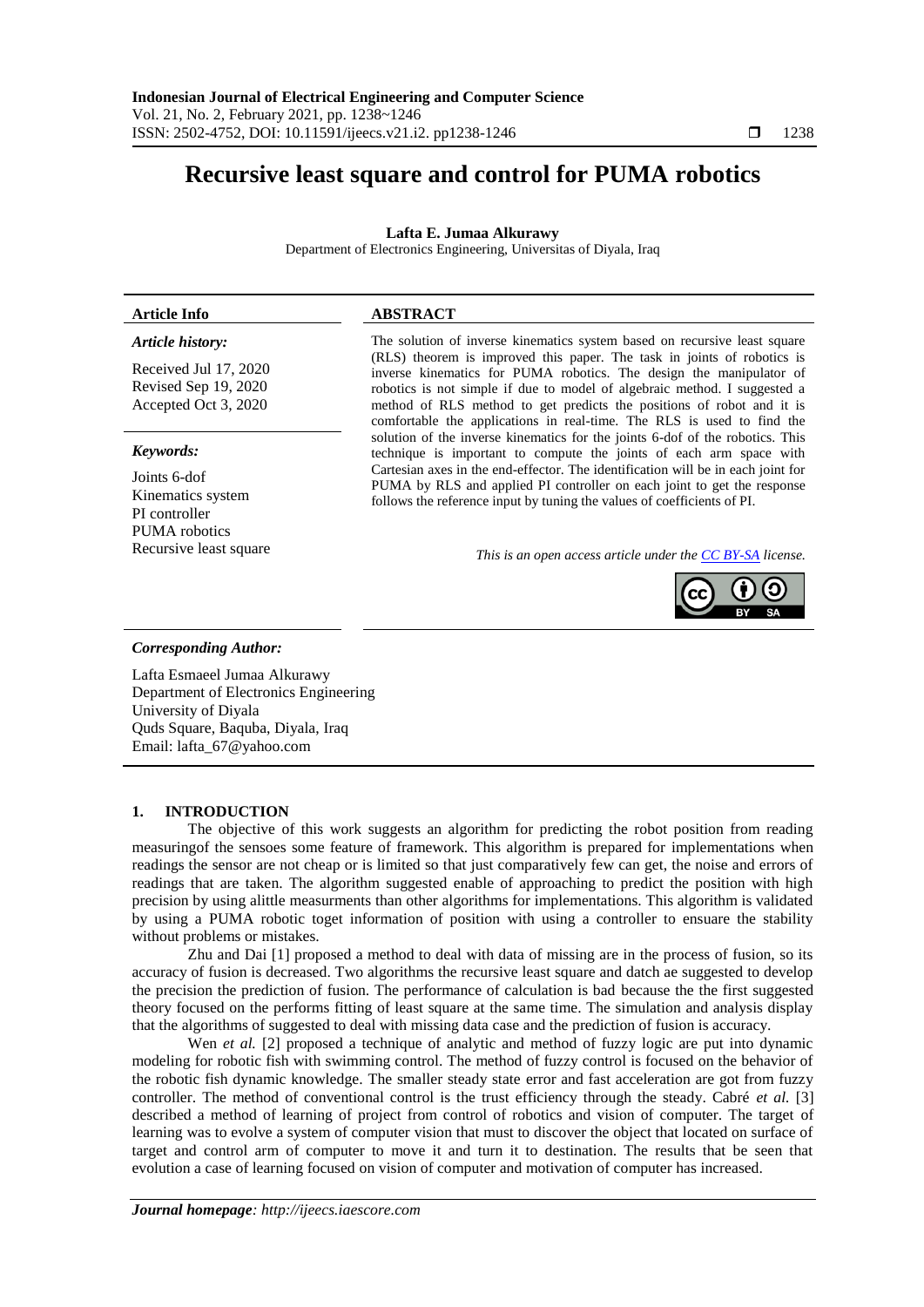# **Recursive least square and control for PUMA robotics**

# **Lafta E. Jumaa Alkurawy**

Department of Electronics Engineering, Universitas of Diyala, Iraq

# **Article Info ABSTRACT**

# *Article history:*

Received Jul 17, 2020 Revised Sep 19, 2020 Accepted Oct 3, 2020

# *Keywords:*

Joints 6-dof Kinematics system PI controller PUMA robotics

The solution of inverse kinematics system based on recursive least square (RLS) theorem is improved this paper. The task in joints of robotics is inverse kinematics for PUMA robotics. The design the manipulator of robotics is not simple if due to model of algebraic method. I suggested a method of RLS method to get predicts the positions of robot and it is comfortable the applications in real-time. The RLS is used to find the solution of the inverse kinematics for the joints 6-dof of the robotics. This technique is important to compute the joints of each arm space with Cartesian axes in the end-effector. The identification will be in each joint for PUMA by RLS and applied PI controller on each joint to get the response follows the reference input by tuning the values of coefficients of PI.

Recursive least square *This is an open access article under the [CC BY-SA](https://creativecommons.org/licenses/by-sa/4.0/) license.*



# *Corresponding Author:*

Lafta Esmaeel Jumaa Alkurawy Department of Electronics Engineering University of Diyala Quds Square, Baquba, Diyala, Iraq Email: [lafta\\_67@yahoo.com](mailto:lafta_67@yahoo.com)

# **1. INTRODUCTION**

The objective of this work suggests an algorithm for predicting the robot position from reading measuringof the sensoes some feature of framework. This algorithm is prepared for implementations when readings the sensor are not cheap or is limited so that just comparatively few can get, the noise and errors of readings that are taken. The algorithm suggested enable of approaching to predict the position with high precision by using alittle measurments than other algorithms for implementations. This algorithm is validated by using a PUMA robotic toget information of position with using a controller to ensuare the stability without problems or mistakes.

Zhu and Dai [1] proposed a method to deal with data of missing are in the process of fusion, so its accuracy of fusion is decreased. Two algorithms the recursive least square and datch ae suggested to develop the precision the prediction of fusion. The performance of calculation is bad because the the first suggested theory focused on the performs fitting of least square at the same time. The simulation and analysis display that the algorithms of suggested to deal with missing data case and the prediction of fusion is accuracy.

Wen *et al.* [2] proposed a technique of analytic and method of fuzzy logic are put into dynamic modeling for robotic fish with swimming control. The method of fuzzy control is focused on the behavior of the robotic fish dynamic knowledge. The smaller steady state error and fast acceleration are got from fuzzy controller. The method of conventional control is the trust efficiency through the steady. Cabré *et al.* [3] described a method of learning of project from control of robotics and vision of computer. The target of learning was to evolve a system of computer vision that must to discover the object that located on surface of target and control arm of computer to move it and turn it to destination. The results that be seen that evolution a case of learning focused on vision of computer and motivation of computer has increased.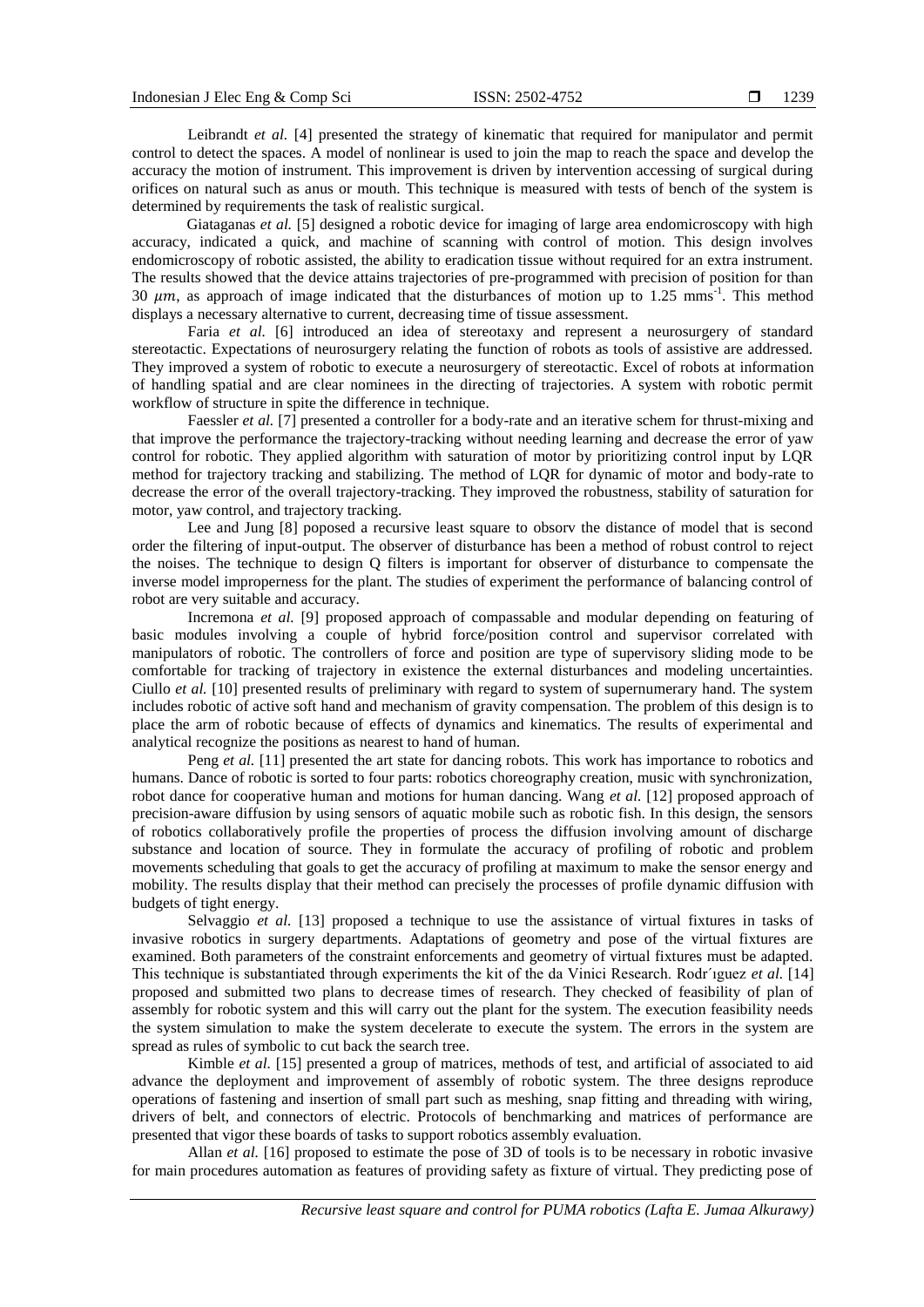Leibrandt *et al.* [4] presented the strategy of kinematic that required for manipulator and permit control to detect the spaces. A model of nonlinear is used to join the map to reach the space and develop the accuracy the motion of instrument. This improvement is driven by intervention accessing of surgical during orifices on natural such as anus or mouth. This technique is measured with tests of bench of the system is determined by requirements the task of realistic surgical.

Giataganas *et al.* [5] designed a robotic device for imaging of large area endomicroscopy with high accuracy, indicated a quick, and machine of scanning with control of motion. This design involves endomicroscopy of robotic assisted, the ability to eradication tissue without required for an extra instrument. The results showed that the device attains trajectories of pre-programmed with precision of position for than 30  $\mu$ m, as approach of image indicated that the disturbances of motion up to 1.25 mms<sup>-1</sup>. This method displays a necessary alternative to current, decreasing time of tissue assessment.

Faria *et al.* [6] introduced an idea of stereotaxy and represent a neurosurgery of standard stereotactic. Expectations of neurosurgery relating the function of robots as tools of assistive are addressed. They improved a system of robotic to execute a neurosurgery of stereotactic. Excel of robots at information of handling spatial and are clear nominees in the directing of trajectories. A system with robotic permit workflow of structure in spite the difference in technique.

Faessler *et al.* [7] presented a controller for a body-rate and an iterative schem for thrust-mixing and that improve the performance the trajectory-tracking without needing learning and decrease the error of yaw control for robotic. They applied algorithm with saturation of motor by prioritizing control input by LQR method for trajectory tracking and stabilizing. The method of LQR for dynamic of motor and body-rate to decrease the error of the overall trajectory-tracking. They improved the robustness, stability of saturation for motor, yaw control, and trajectory tracking.

Lee and Jung [8] poposed a recursive least square to obsorv the distance of model that is second order the filtering of input-output. The observer of disturbance has been a method of robust control to reject the noises. The technique to design Q filters is important for observer of disturbance to compensate the inverse model improperness for the plant. The studies of experiment the performance of balancing control of robot are very suitable and accuracy.

Incremona *et al.* [9] proposed approach of compassable and modular depending on featuring of basic modules involving a couple of hybrid force/position control and supervisor correlated with manipulators of robotic. The controllers of force and position are type of supervisory sliding mode to be comfortable for tracking of trajectory in existence the external disturbances and modeling uncertainties. Ciullo *et al.* [10] presented results of preliminary with regard to system of supernumerary hand. The system includes robotic of active soft hand and mechanism of gravity compensation. The problem of this design is to place the arm of robotic because of effects of dynamics and kinematics. The results of experimental and analytical recognize the positions as nearest to hand of human.

Peng *et al.* [11] presented the art state for dancing robots. This work has importance to robotics and humans. Dance of robotic is sorted to four parts: robotics choreography creation, music with synchronization, robot dance for cooperative human and motions for human dancing. Wang *et al.* [12] proposed approach of precision-aware diffusion by using sensors of aquatic mobile such as robotic fish. In this design, the sensors of robotics collaboratively profile the properties of process the diffusion involving amount of discharge substance and location of source. They in formulate the accuracy of profiling of robotic and problem movements scheduling that goals to get the accuracy of profiling at maximum to make the sensor energy and mobility. The results display that their method can precisely the processes of profile dynamic diffusion with budgets of tight energy.

Selvaggio *et al.* [13] proposed a technique to use the assistance of virtual fixtures in tasks of invasive robotics in surgery departments. Adaptations of geometry and pose of the virtual fixtures are examined. Both parameters of the constraint enforcements and geometry of virtual fixtures must be adapted. This technique is substantiated through experiments the kit of the da Vinici Research. Rodr´ıguez *et al.* [14] proposed and submitted two plans to decrease times of research. They checked of feasibility of plan of assembly for robotic system and this will carry out the plant for the system. The execution feasibility needs the system simulation to make the system decelerate to execute the system. The errors in the system are spread as rules of symbolic to cut back the search tree.

Kimble *et al.* [15] presented a group of matrices, methods of test, and artificial of associated to aid advance the deployment and improvement of assembly of robotic system. The three designs reproduce operations of fastening and insertion of small part such as meshing, snap fitting and threading with wiring, drivers of belt, and connectors of electric. Protocols of benchmarking and matrices of performance are presented that vigor these boards of tasks to support robotics assembly evaluation.

Allan *et al.* [16] proposed to estimate the pose of 3D of tools is to be necessary in robotic invasive for main procedures automation as features of providing safety as fixture of virtual. They predicting pose of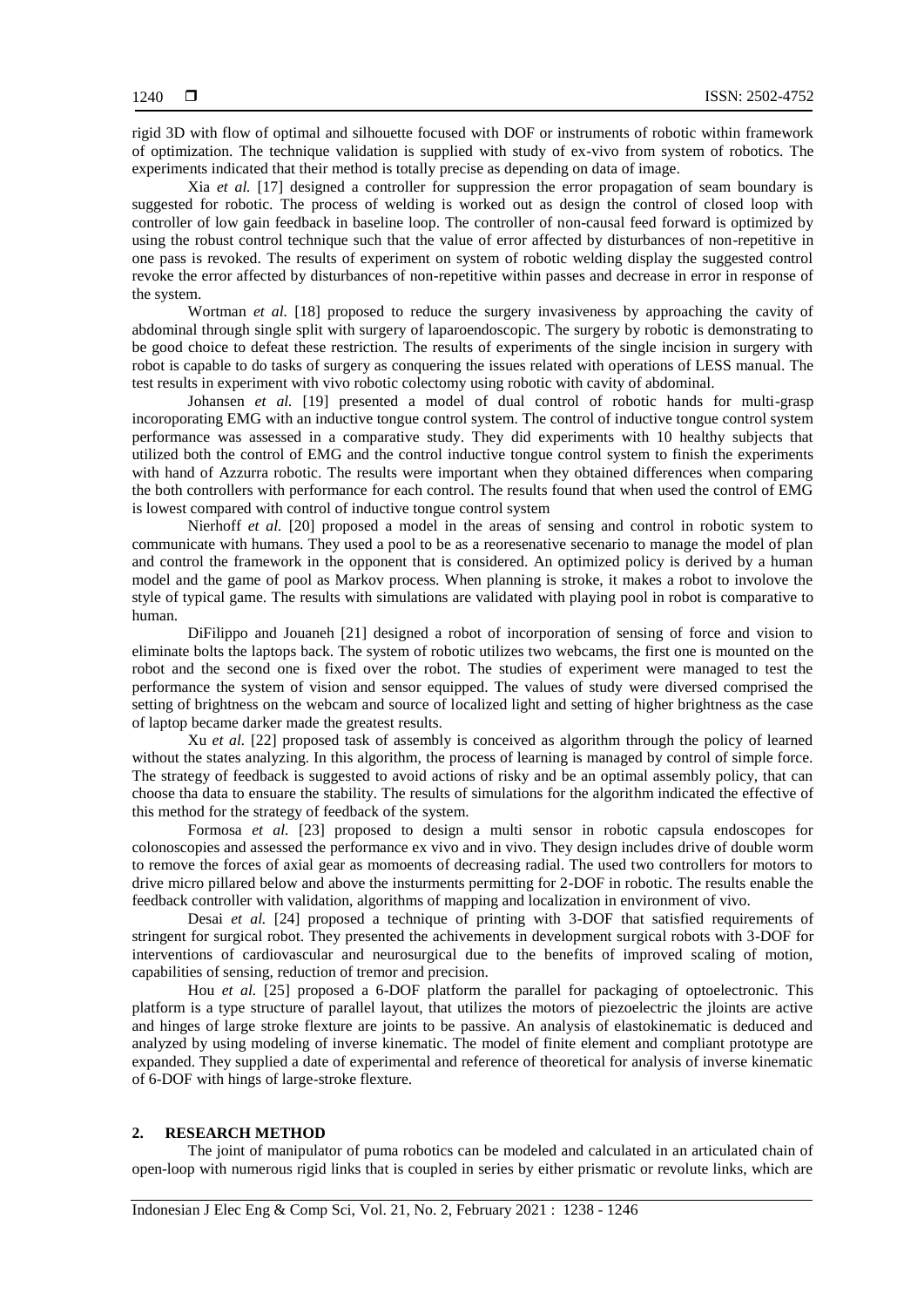rigid 3D with flow of optimal and silhouette focused with DOF or instruments of robotic within framework of optimization. The technique validation is supplied with study of ex-vivo from system of robotics. The experiments indicated that their method is totally precise as depending on data of image.

Xia *et al.* [17] designed a controller for suppression the error propagation of seam boundary is suggested for robotic. The process of welding is worked out as design the control of closed loop with controller of low gain feedback in baseline loop. The controller of non-causal feed forward is optimized by using the robust control technique such that the value of error affected by disturbances of non-repetitive in one pass is revoked. The results of experiment on system of robotic welding display the suggested control revoke the error affected by disturbances of non-repetitive within passes and decrease in error in response of the system.

Wortman *et al.* [18] proposed to reduce the surgery invasiveness by approaching the cavity of abdominal through single split with surgery of laparoendoscopic. The surgery by robotic is demonstrating to be good choice to defeat these restriction. The results of experiments of the single incision in surgery with robot is capable to do tasks of surgery as conquering the issues related with operations of LESS manual. The test results in experiment with vivo robotic colectomy using robotic with cavity of abdominal.

Johansen *et al.* [19] presented a model of dual control of robotic hands for multi-grasp incoroporating EMG with an inductive tongue control system. The control of inductive tongue control system performance was assessed in a comparative study. They did experiments with 10 healthy subjects that utilized both the control of EMG and the control inductive tongue control system to finish the experiments with hand of Azzurra robotic. The results were important when they obtained differences when comparing the both controllers with performance for each control. The results found that when used the control of EMG is lowest compared with control of inductive tongue control system

Nierhoff *et al.* [20] proposed a model in the areas of sensing and control in robotic system to communicate with humans. They used a pool to be as a reoresenative secenario to manage the model of plan and control the framework in the opponent that is considered. An optimized policy is derived by a human model and the game of pool as Markov process. When planning is stroke, it makes a robot to involove the style of typical game. The results with simulations are validated with playing pool in robot is comparative to human.

DiFilippo and Jouaneh [21] designed a robot of incorporation of sensing of force and vision to eliminate bolts the laptops back. The system of robotic utilizes two webcams, the first one is mounted on the robot and the second one is fixed over the robot. The studies of experiment were managed to test the performance the system of vision and sensor equipped. The values of study were diversed comprised the setting of brightness on the webcam and source of localized light and setting of higher brightness as the case of laptop became darker made the greatest results.

Xu *et al.* [22] proposed task of assembly is conceived as algorithm through the policy of learned without the states analyzing. In this algorithm, the process of learning is managed by control of simple force. The strategy of feedback is suggested to avoid actions of risky and be an optimal assembly policy, that can choose tha data to ensuare the stability. The results of simulations for the algorithm indicated the effective of this method for the strategy of feedback of the system.

Formosa *et al.* [23] proposed to design a multi sensor in robotic capsula endoscopes for colonoscopies and assessed the performance ex vivo and in vivo. They design includes drive of double worm to remove the forces of axial gear as momoents of decreasing radial. The used two controllers for motors to drive micro pillared below and above the insturments permitting for 2-DOF in robotic. The results enable the feedback controller with validation, algorithms of mapping and localization in environment of vivo.

Desai *et al.* [24] proposed a technique of printing with 3-DOF that satisfied requirements of stringent for surgical robot. They presented the achivements in development surgical robots with 3-DOF for interventions of cardiovascular and neurosurgical due to the benefits of improved scaling of motion, capabilities of sensing, reduction of tremor and precision.

Hou *et al.* [25] proposed a 6-DOF platform the parallel for packaging of optoelectronic. This platform is a type structure of parallel layout, that utilizes the motors of piezoelectric the jloints are active and hinges of large stroke flexture are joints to be passive. An analysis of elastokinematic is deduced and analyzed by using modeling of inverse kinematic. The model of finite element and compliant prototype are expanded. They supplied a date of experimental and reference of theoretical for analysis of inverse kinematic of 6-DOF with hings of large-stroke flexture.

#### **2. RESEARCH METHOD**

The joint of manipulator of puma robotics can be modeled and calculated in an articulated chain of open-loop with numerous rigid links that is coupled in series by either prismatic or revolute links, which are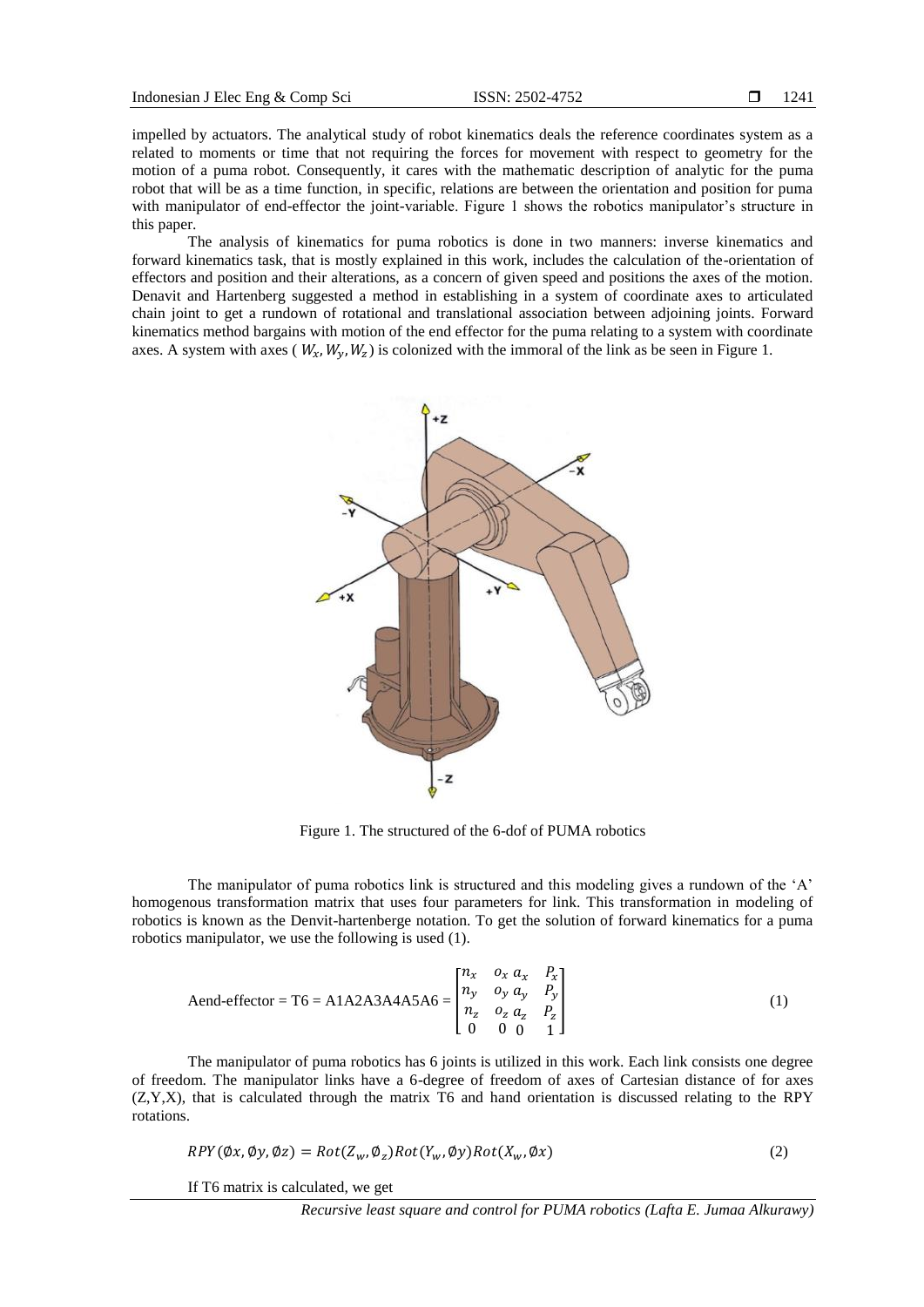impelled by actuators. The analytical study of robot kinematics deals the reference coordinates system as a related to moments or time that not requiring the forces for movement with respect to geometry for the motion of a puma robot. Consequently, it cares with the mathematic description of analytic for the puma robot that will be as a time function, in specific, relations are between the orientation and position for puma with manipulator of end-effector the joint-variable. Figure 1 shows the robotics manipulator's structure in this paper.

The analysis of kinematics for puma robotics is done in two manners: inverse kinematics and forward kinematics task, that is mostly explained in this work, includes the calculation of the-orientation of effectors and position and their alterations, as a concern of given speed and positions the axes of the motion. Denavit and Hartenberg suggested a method in establishing in a system of coordinate axes to articulated chain joint to get a rundown of rotational and translational association between adjoining joints. Forward kinematics method bargains with motion of the end effector for the puma relating to a system with coordinate axes. A system with axes ( $W_x$ ,  $W_y$ ,  $W_z$ ) is colonized with the immoral of the link as be seen in Figure 1.



Figure 1. The structured of the 6-dof of PUMA robotics

The manipulator of puma robotics link is structured and this modeling gives a rundown of the 'A' homogenous transformation matrix that uses four parameters for link. This transformation in modeling of robotics is known as the Denvit-hartenberge notation. To get the solution of forward kinematics for a puma robotics manipulator, we use the following is used (1).

$$
Aend\text{-effector} = T6 = A1A2A3A4A5A6 = \begin{bmatrix} n_x & o_x & a_x & P_x \\ n_y & o_y & a_y & P_y \\ n_z & o_z & a_z & P_z \\ 0 & 0 & 0 & 1 \end{bmatrix} \tag{1}
$$

The manipulator of puma robotics has 6 joints is utilized in this work. Each link consists one degree of freedom. The manipulator links have a 6-degree of freedom of axes of Cartesian distance of for axes (Z,Y,X), that is calculated through the matrix T6 and hand orientation is discussed relating to the RPY rotations.

$$
RPY(\emptyset x, \emptyset y, \emptyset z) = Rot(Z_w, \emptyset_z)Rot(Y_w, \emptyset y)Rot(X_w, \emptyset x)
$$
\n
$$
(2)
$$

If T6 matrix is calculated, we get

*Recursive least square and control for PUMA robotics (Lafta E. Jumaa Alkurawy)*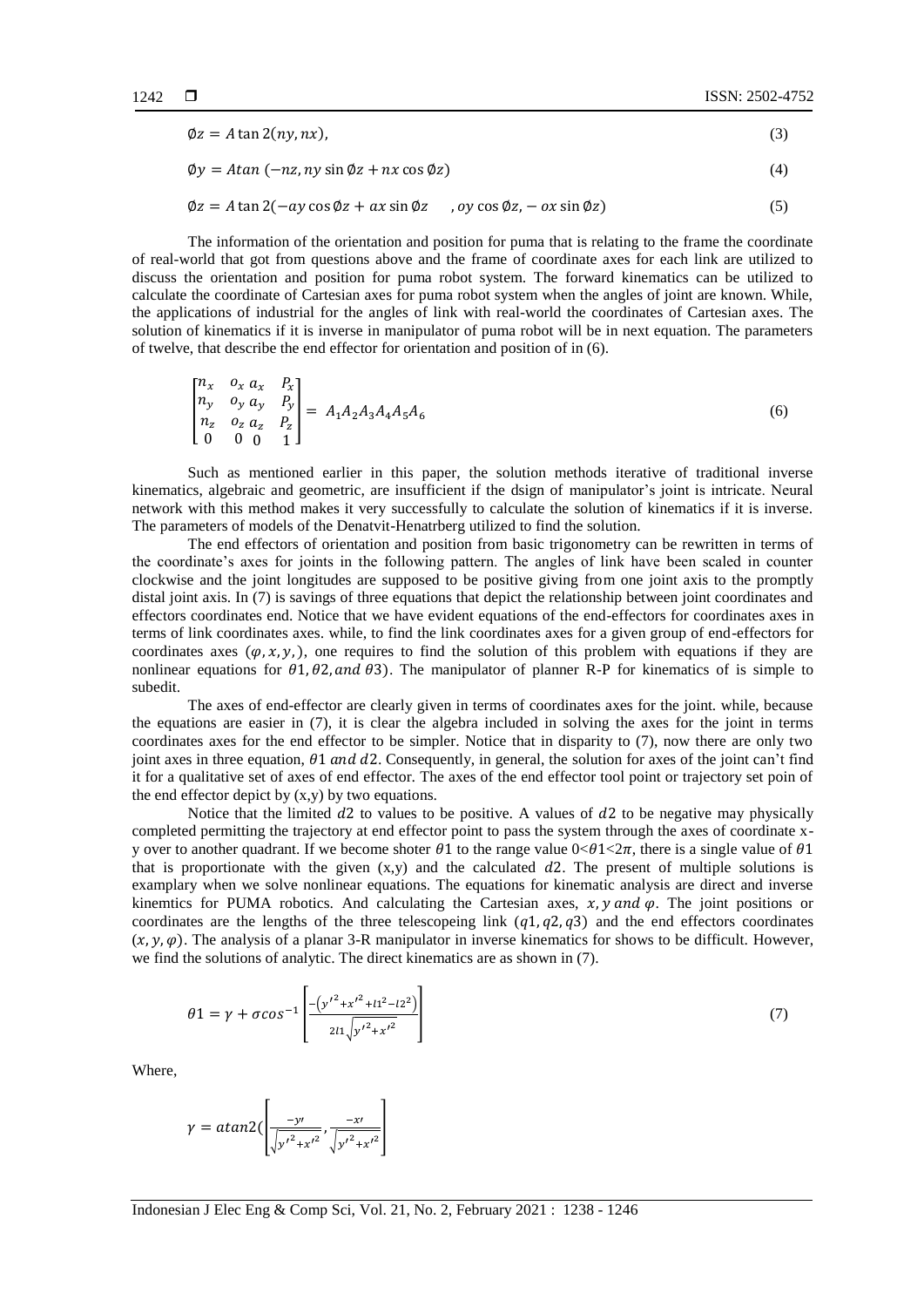$$
\phi z = A \tan 2(ny, nx),\tag{3}
$$

 $\phi y = A \tan (-\eta z, \eta y \sin \phi z + \eta x \cos \phi z)$  (4)

$$
\emptyset z = A \tan 2(-ay \cos \emptyset z + ax \sin \emptyset z), \quad \text{oy} \cos \emptyset z, -ox \sin \emptyset z)
$$
 (5)

The information of the orientation and position for puma that is relating to the frame the coordinate of real-world that got from questions above and the frame of coordinate axes for each link are utilized to discuss the orientation and position for puma robot system. The forward kinematics can be utilized to calculate the coordinate of Cartesian axes for puma robot system when the angles of joint are known. While, the applications of industrial for the angles of link with real-world the coordinates of Cartesian axes. The solution of kinematics if it is inverse in manipulator of puma robot will be in next equation. The parameters of twelve, that describe the end effector for orientation and position of in (6).

$$
\begin{bmatrix} n_x & o_x & a_x & P_x \\ n_y & o_y & a_y & P_y \\ n_z & o_z & a_z & P_z \\ 0 & 0 & 0 & 1 \end{bmatrix} = A_1 A_2 A_3 A_4 A_5 A_6 \tag{6}
$$

Such as mentioned earlier in this paper, the solution methods iterative of traditional inverse kinematics, algebraic and geometric, are insufficient if the dsign of manipulator"s joint is intricate. Neural network with this method makes it very successfully to calculate the solution of kinematics if it is inverse. The parameters of models of the Denatvit-Henatrberg utilized to find the solution.

The end effectors of orientation and position from basic trigonometry can be rewritten in terms of the coordinate"s axes for joints in the following pattern. The angles of link have been scaled in counter clockwise and the joint longitudes are supposed to be positive giving from one joint axis to the promptly distal joint axis. In (7) is savings of three equations that depict the relationship between joint coordinates and effectors coordinates end. Notice that we have evident equations of the end-effectors for coordinates axes in terms of link coordinates axes. while, to find the link coordinates axes for a given group of end-effectors for coordinates axes  $(\varphi, x, y)$ , one requires to find the solution of this problem with equations if they are nonlinear equations for  $\theta$ 1, $\theta$ 2, and  $\theta$ 3). The manipulator of planner R-P for kinematics of is simple to subedit.

The axes of end-effector are clearly given in terms of coordinates axes for the joint. while, because the equations are easier in (7), it is clear the algebra included in solving the axes for the joint in terms coordinates axes for the end effector to be simpler. Notice that in disparity to (7), now there are only two joint axes in three equation,  $\theta$ 1 and d2. Consequently, in general, the solution for axes of the joint can't find it for a qualitative set of axes of end effector. The axes of the end effector tool point or trajectory set poin of the end effector depict by  $(x, y)$  by two equations.

Notice that the limited  $d2$  to values to be positive. A values of  $d2$  to be negative may physically completed permitting the trajectory at end effector point to pass the system through the axes of coordinate xy over to another quadrant. If we become shoter  $\theta$ 1 to the range value  $0 < \theta$ 1<2 $\pi$ , there is a single value of  $\theta$ 1 that is proportionate with the given  $(x,y)$  and the calculated d2. The present of multiple solutions is examplary when we solve nonlinear equations. The equations for kinematic analysis are direct and inverse kinemtics for PUMA robotics. And calculating the Cartesian axes,  $x, y$  and  $\varphi$ . The joint positions or coordinates are the lengths of the three telescopeing link  $(q1, q2, q3)$  and the end effectors coordinates  $(x, y, \varphi)$ . The analysis of a planar 3-R manipulator in inverse kinematics for shows to be difficult. However, we find the solutions of analytic. The direct kinematics are as shown in (7).

$$
\theta 1 = \gamma + \sigma \cos^{-1} \left[ \frac{-\left(y'^2 + {x'}^2 + 11^2 - 12^2\right)}{211 \sqrt{{y'}^2 + {x'}^2}} \right] \tag{7}
$$

Where,

$$
\gamma = \text{atan2}\Big(\left[\frac{-y'}{\sqrt{{y'}^2 + {x'}^2}}, \frac{-x'}{\sqrt{{y'}^2 + {x'}^2}}\right]
$$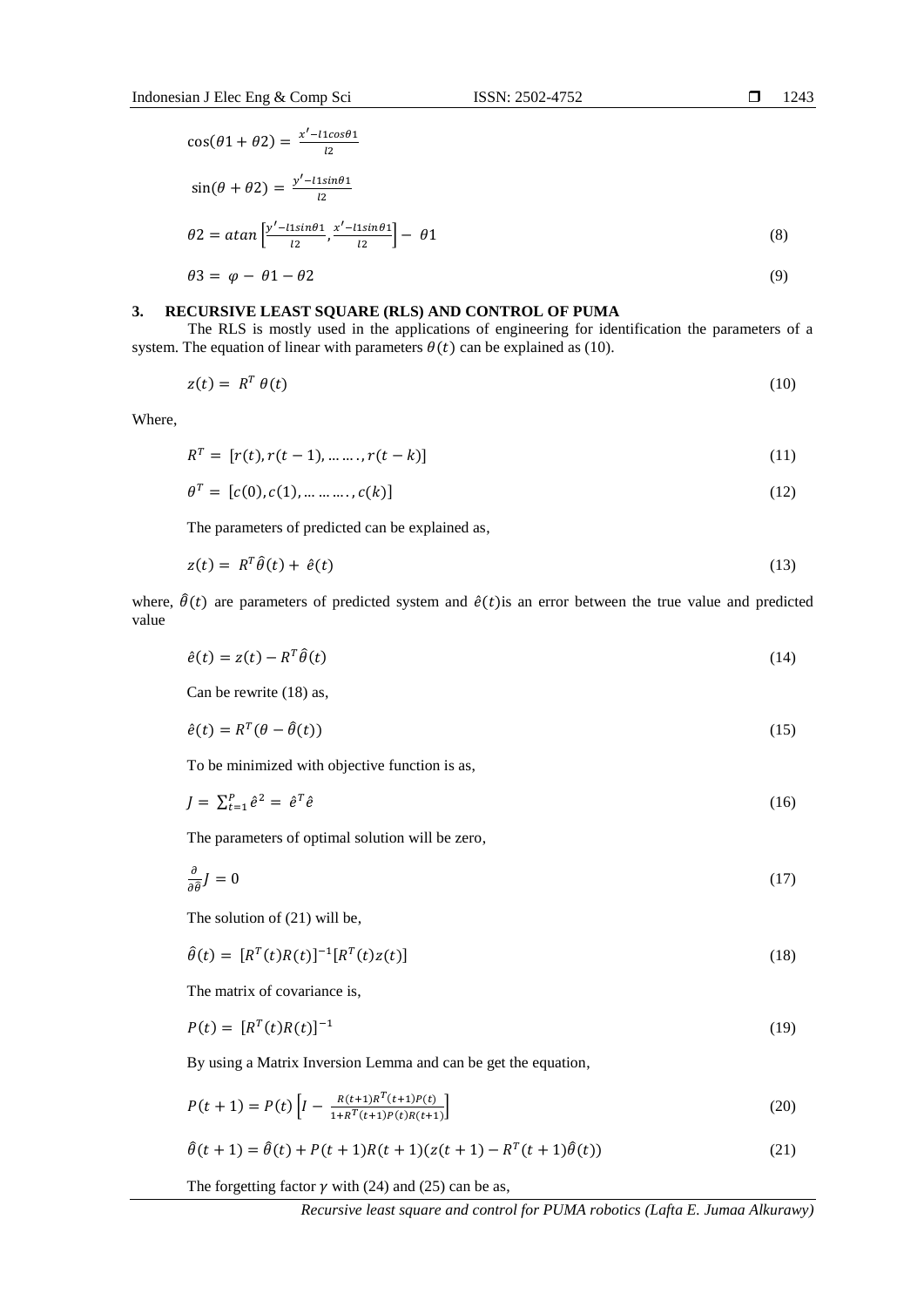$$
\cos(\theta 1 + \theta 2) = \frac{x' - 11\cos\theta 1}{l2}
$$
  
\n
$$
\sin(\theta + \theta 2) = \frac{y' - 11\sin\theta 1}{l2}
$$
  
\n
$$
\theta 2 = \alpha \tan \left[ \frac{y' - 11\sin\theta 1}{l2}, \frac{x' - 11\sin\theta 1}{l2} \right] - \theta 1
$$
  
\n
$$
\theta 3 = \varphi - \theta 1 - \theta 2
$$
\n(9)

# **3. RECURSIVE LEAST SQUARE (RLS) AND CONTROL OF PUMA**

i.

The RLS is mostly used in the applications of engineering for identification the parameters of a system. The equation of linear with parameters  $\theta(t)$  can be explained as (10).

$$
z(t) = R^T \theta(t) \tag{10}
$$

Where,

$$
RT = [r(t), r(t-1), \dots, r(t-k)]
$$
\n(11)

$$
\theta^T = [c(0), c(1), \dots, c(k)] \tag{12}
$$

The parameters of predicted can be explained as,

$$
z(t) = R^T \hat{\theta}(t) + \hat{e}(t) \tag{13}
$$

where,  $\hat{\theta}(t)$  are parameters of predicted system and  $\hat{e}(t)$  is an error between the true value and predicted value

$$
\hat{e}(t) = z(t) - R^T \hat{\theta}(t) \tag{14}
$$

Can be rewrite (18) as,

$$
\hat{e}(t) = R^T(\theta - \hat{\theta}(t))
$$
\n(15)

To be minimized with objective function is as,

$$
J = \sum_{t=1}^{P} \hat{e}^2 = \hat{e}^T \hat{e}
$$
 (16)

The parameters of optimal solution will be zero,

$$
\frac{\partial}{\partial \hat{\theta}}J = 0 \tag{17}
$$

The solution of (21) will be,

$$
\hat{\theta}(t) = [R^T(t)R(t)]^{-1} [R^T(t)z(t)] \tag{18}
$$

The matrix of covariance is,

$$
P(t) = [RT(t)R(t)]^{-1}
$$
\n(19)

By using a Matrix Inversion Lemma and can be get the equation,

$$
P(t+1) = P(t) \left[ I - \frac{R(t+1)R^{T}(t+1)P(t)}{1+R^{T}(t+1)P(t)R(t+1)} \right]
$$
\n(20)

$$
\hat{\theta}(t+1) = \hat{\theta}(t) + P(t+1)R(t+1)(z(t+1) - R^{T}(t+1)\hat{\theta}(t))
$$
\n(21)

The forgetting factor  $\gamma$  with (24) and (25) can be as,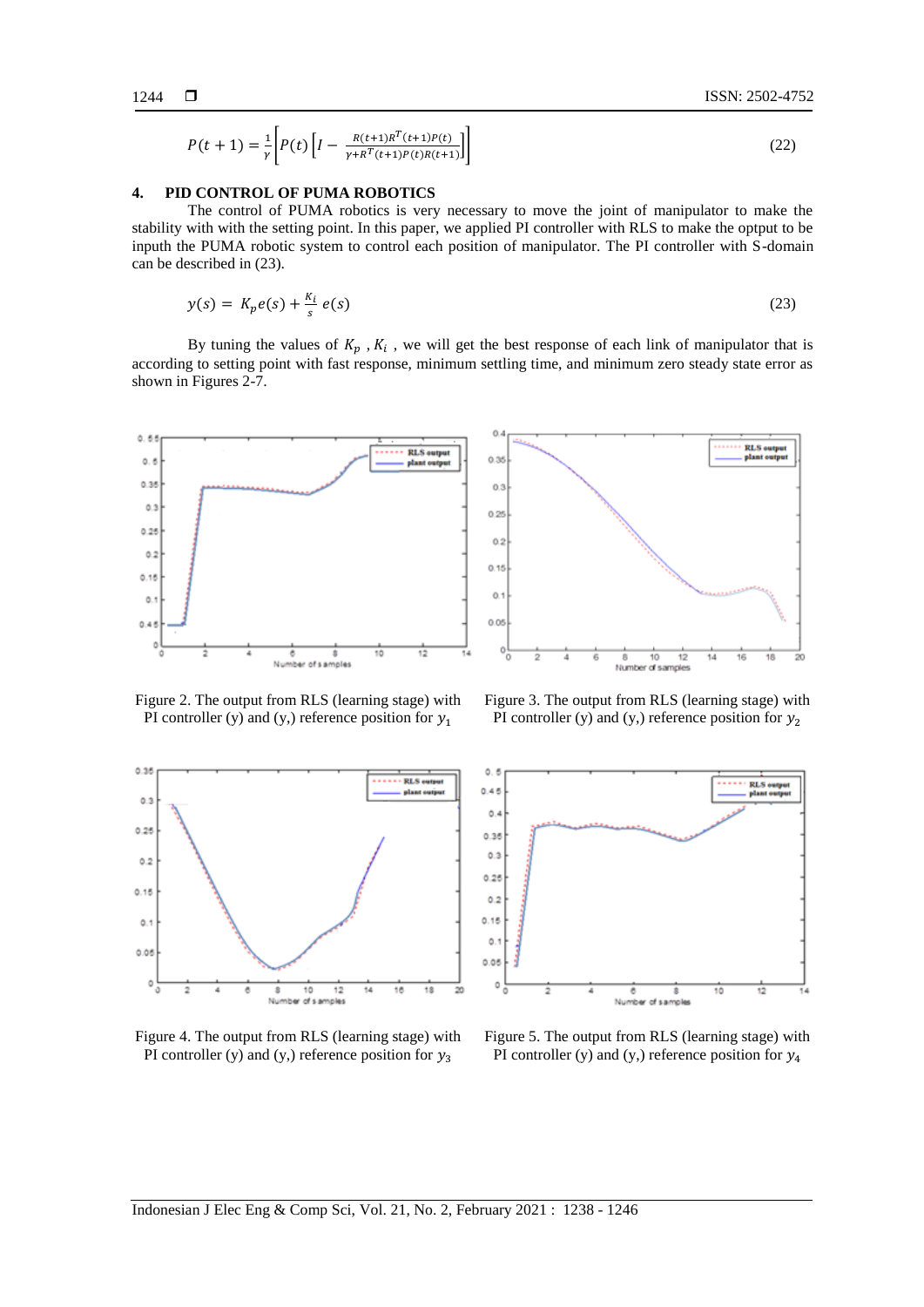$$
P(t+1) = \frac{1}{\gamma} \left[ P(t) \left[ I - \frac{R(t+1)R^{T}(t+1)P(t)}{\gamma + R^{T}(t+1)P(t)R(t+1)} \right] \right]
$$
(22)

# **4. PID CONTROL OF PUMA ROBOTICS**

The control of PUMA robotics is very necessary to move the joint of manipulator to make the stability with with the setting point. In this paper, we applied PI controller with RLS to make the optput to be inputh the PUMA robotic system to control each position of manipulator. The PI controller with S-domain can be described in (23).

$$
y(s) = K_p e(s) + \frac{K_i}{s} e(s)
$$
\n<sup>(23)</sup>

By tuning the values of  $K_p$ ,  $K_i$ , we will get the best response of each link of manipulator that is according to setting point with fast response, minimum settling time, and minimum zero steady state error as shown in Figures 2-7.



Figure 2. The output from RLS (learning stage) with PI controller (y) and (y,) reference position for  $y_1$ 



Figure 3. The output from RLS (learning stage) with PI controller (y) and (y,) reference position for  $y_2$ 



Figure 4. The output from RLS (learning stage) with PI controller (y) and (y,) reference position for  $y_3$ 



Figure 5. The output from RLS (learning stage) with PI controller (y) and (y,) reference position for  $y_4$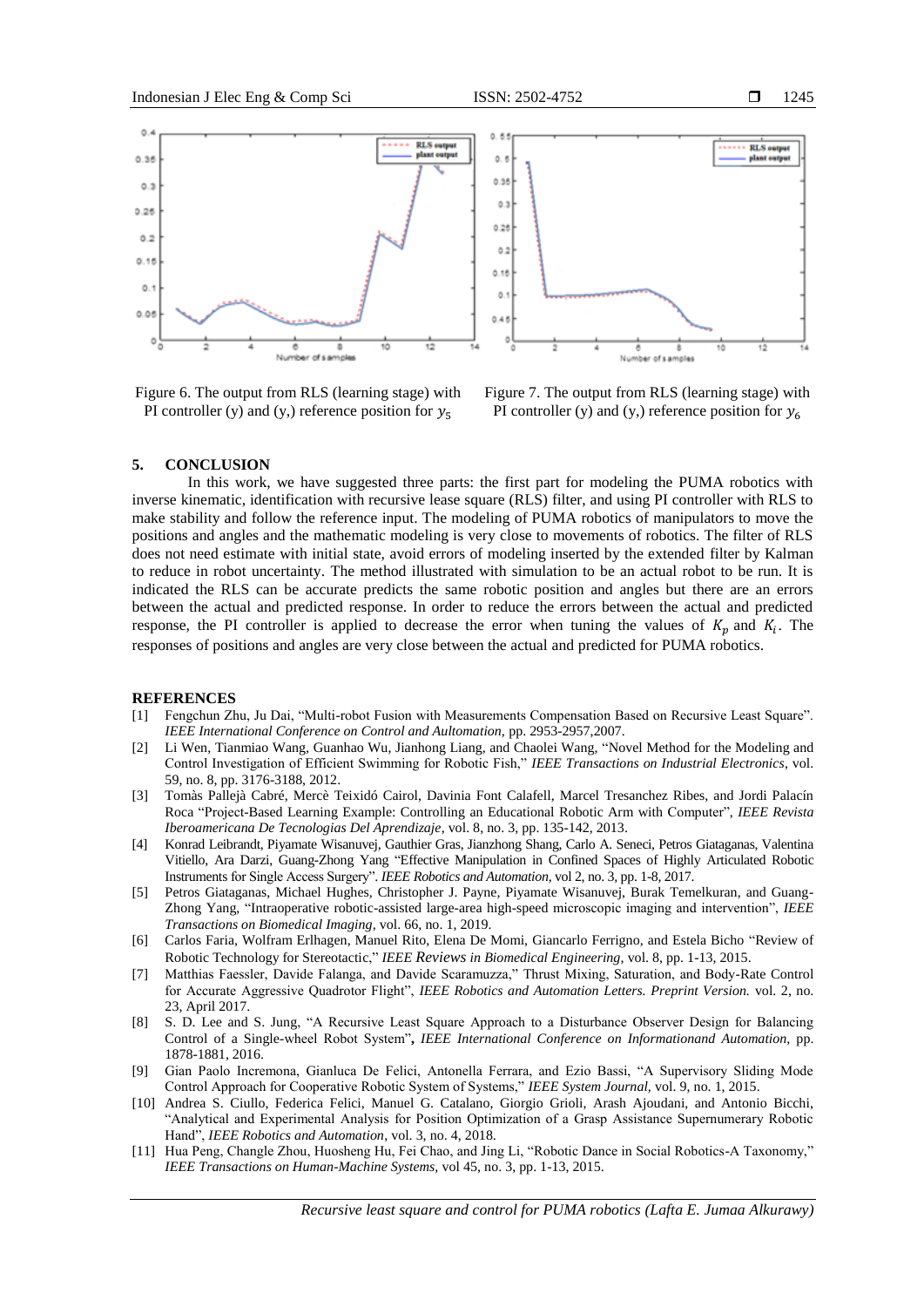

Figure 6. The output from RLS (learning stage) with PI controller (y) and (y,) reference position for  $y_5$ 



Figure 7. The output from RLS (learning stage) with PI controller (y) and (y,) reference position for  $y_6$ 

# **5. CONCLUSION**

In this work, we have suggested three parts: the first part for modeling the PUMA robotics with inverse kinematic, identification with recursive lease square (RLS) filter, and using PI controller with RLS to make stability and follow the reference input. The modeling of PUMA robotics of manipulators to move the positions and angles and the mathematic modeling is very close to movements of robotics. The filter of RLS does not need estimate with initial state, avoid errors of modeling inserted by the extended filter by Kalman to reduce in robot uncertainty. The method illustrated with simulation to be an actual robot to be run. It is indicated the RLS can be accurate predicts the same robotic position and angles but there are an errors between the actual and predicted response. In order to reduce the errors between the actual and predicted response, the PI controller is applied to decrease the error when tuning the values of  $K_p$  and  $K_i$ . The responses of positions and angles are very close between the actual and predicted for PUMA robotics.

#### **REFERENCES**

- [1] Fengchun Zhu, Ju Dai, "Multi-robot Fusion with Measurements Compensation Based on Recursive Least Square". *IEEE International Conference on Control and Aultomation,* pp. 2953-2957,2007.
- [2] Li Wen, Tianmiao Wang, Guanhao Wu, Jianhong Liang, and Chaolei Wang, "Novel Method for the Modeling and Control Investigation of Efficient Swimming for Robotic Fish," *IEEE Transactions on Industrial Electronics*, vol. 59, no. 8, pp. 3176-3188, 2012.
- [3] Tomàs Pallejà Cabré, Mercè Teixidó Cairol, Davinia Font Calafell, Marcel Tresanchez Ribes, and Jordi Palacín Roca "Project-Based Learning Example: Controlling an Educational Robotic Arm with Computer", *IEEE Revista Iberoamericana De Tecnologias Del Aprendizaje*, vol. 8, no. 3, pp. 135-142, 2013.
- [4] Konrad Leibrandt, Piyamate Wisanuvej, Gauthier Gras, Jianzhong Shang, Carlo A. Seneci, Petros Giataganas, Valentina Vitiello, Ara Darzi, Guang-Zhong Yang "Effective Manipulation in Confined Spaces of Highly Articulated Robotic Instruments for Single Access Surgery". *IEEE Robotics and Automation*, vol 2, no. 3, pp. 1-8, 2017.
- [5] Petros Giataganas, Michael Hughes, Christopher J. Payne, Piyamate Wisanuvej, Burak Temelkuran, and Guang-Zhong Yang, "Intraoperative robotic-assisted large-area high-speed microscopic imaging and intervention", *IEEE Transactions on Biomedical Imaging,* vol. 66, no. 1, 2019.
- [6] Carlos Faria, Wolfram Erlhagen, Manuel Rito, Elena De Momi, Giancarlo Ferrigno, and Estela Bicho "Review of Robotic Technology for Stereotactic," *IEEE Reviews in Biomedical Engineering,* vol. 8, pp. 1-13, 2015.
- [7] Matthias Faessler, Davide Falanga, and Davide Scaramuzza," Thrust Mixing, Saturation, and Body-Rate Control for Accurate Aggressive Quadrotor Flight", *IEEE Robotics and Automation Letters. Preprint Version.* vol. 2, no. 23, April 2017.
- [8] S. D. Lee and S. Jung, "A Recursive Least Square Approach to a Disturbance Observer Design for Balancing Control of a Single-wheel Robot System"**,** *IEEE International Conference on Informationand Automation,* pp. 1878-1881, 2016.
- [9] Gian Paolo Incremona, Gianluca De Felici, Antonella Ferrara, and Ezio Bassi, "A Supervisory Sliding Mode Control Approach for Cooperative Robotic System of Systems," *IEEE System Journal,* vol. 9, no. 1, 2015.
- [10] Andrea S. Ciullo, Federica Felici, Manuel G. Catalano, Giorgio Grioli, Arash Ajoudani, and Antonio Bicchi, "Analytical and Experimental Analysis for Position Optimization of a Grasp Assistance Supernumerary Robotic Hand", *IEEE Robotics and Automation*, vol. 3, no. 4, 2018.
- [11] Hua Peng, Changle Zhou, Huosheng Hu, Fei Chao, and Jing Li, "Robotic Dance in Social Robotics-A Taxonomy," *IEEE Transactions on Human-Machine Systems,* vol 45, no. 3, pp. 1-13, 2015.